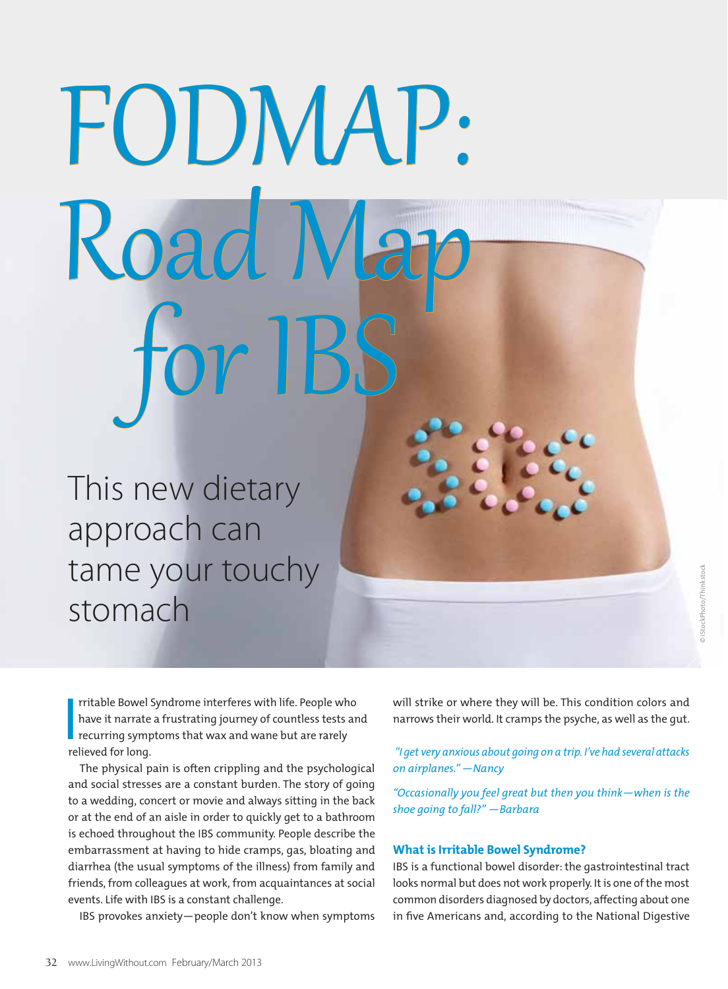# FODMAP: Road N for IBS

This new dietary approach can tame your touchy stomach

**I** rritable Bowel Syndrome interferes with life. People who have it narrate a frustrating journey of countless tests and recurring symptoms that wax and wane but are rarely relieved for long.

The physical pain is often crippling and the psychological and social stresses are a constant burden. The story of going to a wedding, concert or movie and always sitting in the back or at the end of an aisle in order to quickly get to a bathroom is echoed throughout the IBS community. People describe the embarrassment at having to hide cramps, gas, bloating and diarrhea (the usual symptoms of the illness) from family and friends, from colleagues at work, from acquaintances at social events. Life with IBS is a constant challenge.

IBS provokes anxiety—people don't know when symptoms

will strike or where they will be. This condition colors and narrows their world. It cramps the psyche, as well as the gut.

 *"I get very anxious about going on a trip. I've had several attacks on airplanes."* —*Nancy*

*"Occasionally you feel great but then you think—when is the shoe going to fall?"* —*Barbara*

## **What is Irritable Bowel Syndrome?**

IBS is a functional bowel disorder: the gastrointestinal tract looks normal but does not work properly. It is one of the most common disorders diagnosed by doctors, affecting about one in five Americans and, according to the National Digestive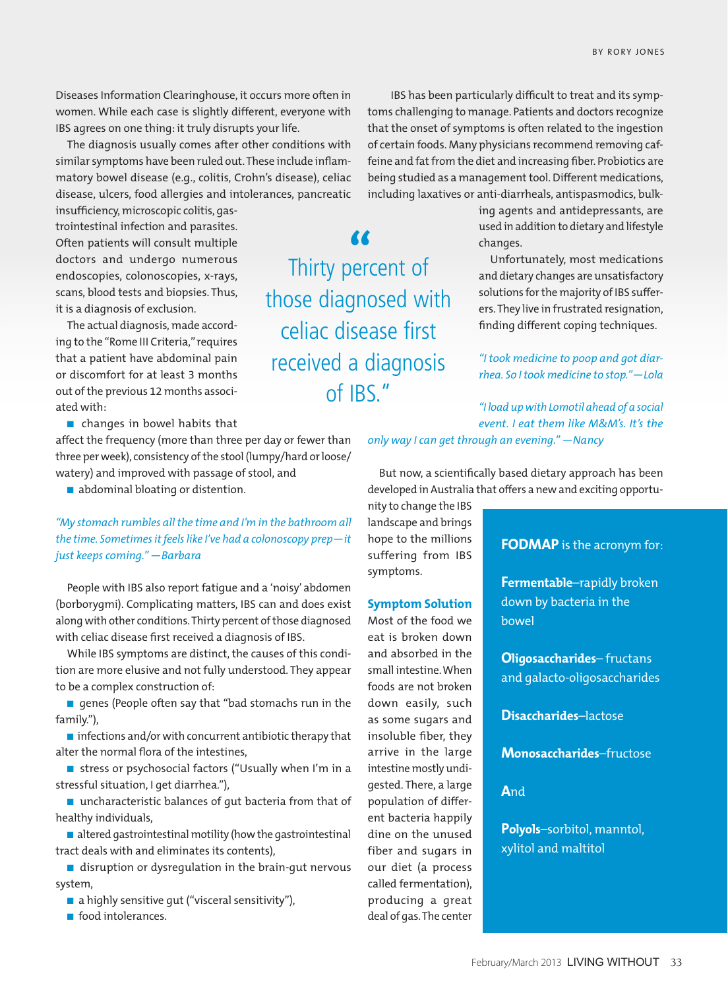Diseases Information Clearinghouse, it occurs more often in women. While each case is slightly different, everyone with IBS agrees on one thing: it truly disrupts your life.

The diagnosis usually comes after other conditions with similar symptoms have been ruled out. These include inflammatory bowel disease (e.g., colitis, Crohn's disease), celiac disease, ulcers, food allergies and intolerances, pancreatic

insufficiency, microscopic colitis, gastrointestinal infection and parasites. Often patients will consult multiple doctors and undergo numerous endoscopies, colonoscopies, x-rays, scans, blood tests and biopsies. Thus, it is a diagnosis of exclusion.

The actual diagnosis, made according to the "Rome III Criteria," requires that a patient have abdominal pain or discomfort for at least 3 months out of the previous 12 months associated with:

 $\blacksquare$  changes in bowel habits that

affect the frequency (more than three per day or fewer than three per week), consistency of the stool (lumpy/hard or loose/ watery) and improved with passage of stool, and

 $\blacksquare$  abdominal bloating or distention.

*"My stomach rumbles all the time and I'm in the bathroom all the time. Sometimes it feels like I've had a colonoscopy prep—it just keeps coming." —Barbara*

People with IBS also report fatigue and a 'noisy' abdomen (borborygmi). Complicating matters, IBS can and does exist along with other conditions. Thirty percent of those diagnosed with celiac disease first received a diagnosis of IBS.

While IBS symptoms are distinct, the causes of this condition are more elusive and not fully understood. They appear to be a complex construction of:

 $\blacksquare$  genes (People often say that "bad stomachs run in the family."),

 $\blacksquare$  infections and/or with concurrent antibiotic therapy that alter the normal flora of the intestines,

■ stress or psychosocial factors ("Usually when I'm in a stressful situation, I get diarrhea."),

 $\blacksquare$  uncharacteristic balances of qut bacteria from that of healthy individuals,

 $\blacksquare$  altered gastrointestinal motility (how the gastrointestinal tract deals with and eliminates its contents),

 $\blacksquare$  disruption or dysregulation in the brain-gut nervous system,

 $\blacksquare$  a highly sensitive gut ("visceral sensitivity"),

 $\blacksquare$  food intolerances.

Thirty percent of **"** those diagnosed with celiac disease first received a diagnosis of IBS."

 IBS has been particularly difficult to treat and its symptoms challenging to manage. Patients and doctors recognize that the onset of symptoms is often related to the ingestion of certain foods. Many physicians recommend removing caffeine and fat from the diet and increasing fiber. Probiotics are being studied as a management tool. Different medications, including laxatives or anti-diarrheals, antispasmodics, bulk-

> ing agents and antidepressants, are used in addition to dietary and lifestyle changes.

> Unfortunately, most medications and dietary changes are unsatisfactory solutions for the majority of IBS sufferers. They live in frustrated resignation, finding different coping techniques.

> *"I took medicine to poop and got diarrhea. So I took medicine to stop."—Lola*

*"I load up with Lomotil ahead of a social event. I eat them like M&M's. It's the* 

*only way I can get through an evening." —Nancy*

But now, a scientifically based dietary approach has been developed in Australia that offers a new and exciting opportu-

nity to change the IBS landscape and brings hope to the millions suffering from IBS symptoms.

#### **Symptom Solution**

Most of the food we eat is broken down and absorbed in the small intestine. When foods are not broken down easily, such as some sugars and insoluble fiber, they arrive in the large intestine mostly undigested. There, a large population of different bacteria happily dine on the unused fiber and sugars in our diet (a process called fermentation), producing a great deal of gas. The center

## **FODMAP** is the acronym for:

**Fermentable**–rapidly broken down by bacteria in the bowel

**Oligosaccharides**– fructans and galacto-oligosaccharides

**Disaccharides**–lactose

**Monosaccharides**–fructose

**A**nd

**Polyols**–sorbitol, manntol, xylitol and maltitol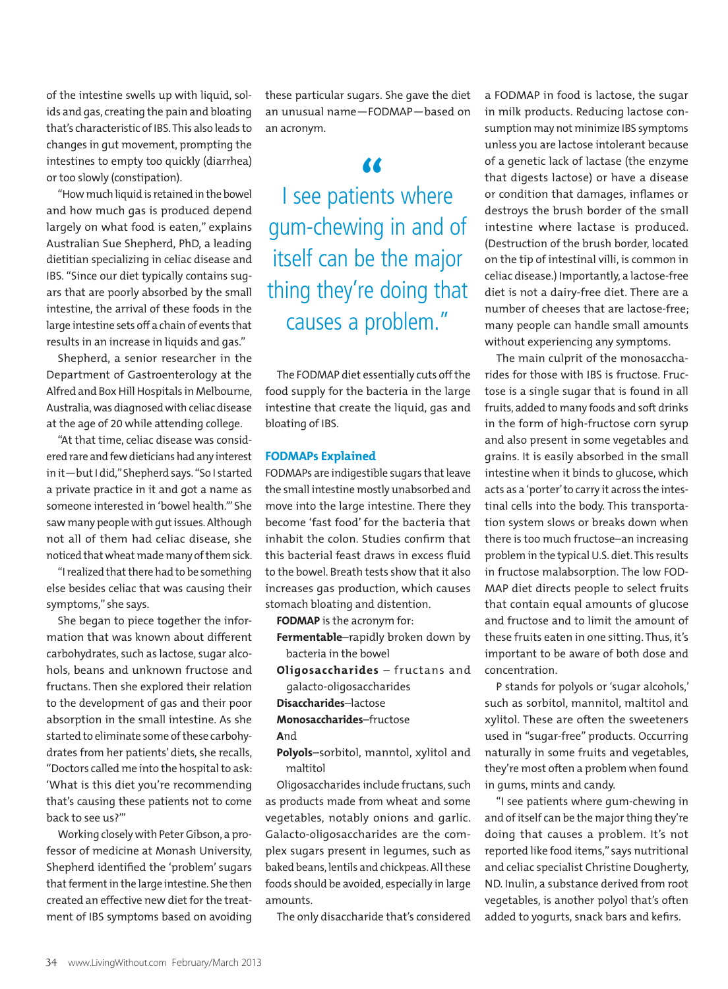of the intestine swells up with liquid, solids and gas, creating the pain and bloating that's characteristic of IBS. This also leads to changes in gut movement, prompting the intestines to empty too quickly (diarrhea) or too slowly (constipation).

"How much liquid is retained in the bowel and how much gas is produced depend largely on what food is eaten," explains Australian Sue Shepherd, PhD, a leading dietitian specializing in celiac disease and IBS. "Since our diet typically contains sugars that are poorly absorbed by the small intestine, the arrival of these foods in the large intestine sets off a chain of events that results in an increase in liquids and gas."

Shepherd, a senior researcher in the Department of Gastroenterology at the Alfred and Box Hill Hospitals in Melbourne, Australia, was diagnosed with celiac disease at the age of 20 while attending college.

"At that time, celiac disease was considered rare and few dieticians had any interest in it—but I did," Shepherd says. "So I started a private practice in it and got a name as someone interested in 'bowel health.'" She saw many people with gut issues. Although not all of them had celiac disease, she noticed that wheat made many of them sick.

"I realized that there had to be something else besides celiac that was causing their symptoms," she says.

She began to piece together the information that was known about different carbohydrates, such as lactose, sugar alcohols, beans and unknown fructose and fructans. Then she explored their relation to the development of gas and their poor absorption in the small intestine. As she started to eliminate some of these carbohydrates from her patients' diets, she recalls, "Doctors called me into the hospital to ask: 'What is this diet you're recommending that's causing these patients not to come back to see us?'"

Working closely with Peter Gibson, a professor of medicine at Monash University, Shepherd identified the 'problem' sugars that ferment in the large intestine. She then created an effective new diet for the treatment of IBS symptoms based on avoiding

these particular sugars. She gave the diet an unusual name—FODMAP—based on an acronym.

**I** see patients where gum-chewing in and of itself can be the major thing they're doing that causes a problem."

The FODMAP diet essentially cuts off the food supply for the bacteria in the large intestine that create the liquid, gas and bloating of IBS.

## **FODMAPs Explained**

FODMAPs are indigestible sugars that leave the small intestine mostly unabsorbed and move into the large intestine. There they become 'fast food' for the bacteria that inhabit the colon. Studies confirm that this bacterial feast draws in excess fluid to the bowel. Breath tests show that it also increases gas production, which causes stomach bloating and distention.

**FODMAP** is the acronym for:

**Fermentable**–rapidly broken down by bacteria in the bowel

**Oligosaccharides** – fructans and

galacto-oligosaccharides

**Disaccharides**–lactose

**Monosaccharides**–fructose

**A**nd

**Polyols**–sorbitol, manntol, xylitol and maltitol

Oligosaccharides include fructans, such as products made from wheat and some vegetables, notably onions and garlic. Galacto-oligosaccharides are the complex sugars present in legumes, such as baked beans, lentils and chickpeas. All these foods should be avoided, especially in large amounts.

The only disaccharide that's considered

a FODMAP in food is lactose, the sugar in milk products. Reducing lactose consumption may not minimize IBS symptoms unless you are lactose intolerant because of a genetic lack of lactase (the enzyme that digests lactose) or have a disease or condition that damages, inflames or destroys the brush border of the small intestine where lactase is produced. (Destruction of the brush border, located on the tip of intestinal villi, is common in celiac disease.) Importantly, a lactose-free diet is not a dairy-free diet. There are a number of cheeses that are lactose-free; many people can handle small amounts without experiencing any symptoms.

The main culprit of the monosaccharides for those with IBS is fructose. Fructose is a single sugar that is found in all fruits, added to many foods and soft drinks in the form of high-fructose corn syrup and also present in some vegetables and grains. It is easily absorbed in the small intestine when it binds to glucose, which acts as a 'porter' to carry it across the intestinal cells into the body. This transportation system slows or breaks down when there is too much fructose–an increasing problem in the typical U.S. diet. This results in fructose malabsorption. The low FOD-MAP diet directs people to select fruits that contain equal amounts of glucose and fructose and to limit the amount of these fruits eaten in one sitting. Thus, it's important to be aware of both dose and concentration.

P stands for polyols or 'sugar alcohols,' such as sorbitol, mannitol, maltitol and xylitol. These are often the sweeteners used in "sugar-free" products. Occurring naturally in some fruits and vegetables, they're most often a problem when found in gums, mints and candy.

"I see patients where gum-chewing in and of itself can be the major thing they're doing that causes a problem. It's not reported like food items," says nutritional and celiac specialist Christine Dougherty, ND. Inulin, a substance derived from root vegetables, is another polyol that's often added to yogurts, snack bars and kefirs.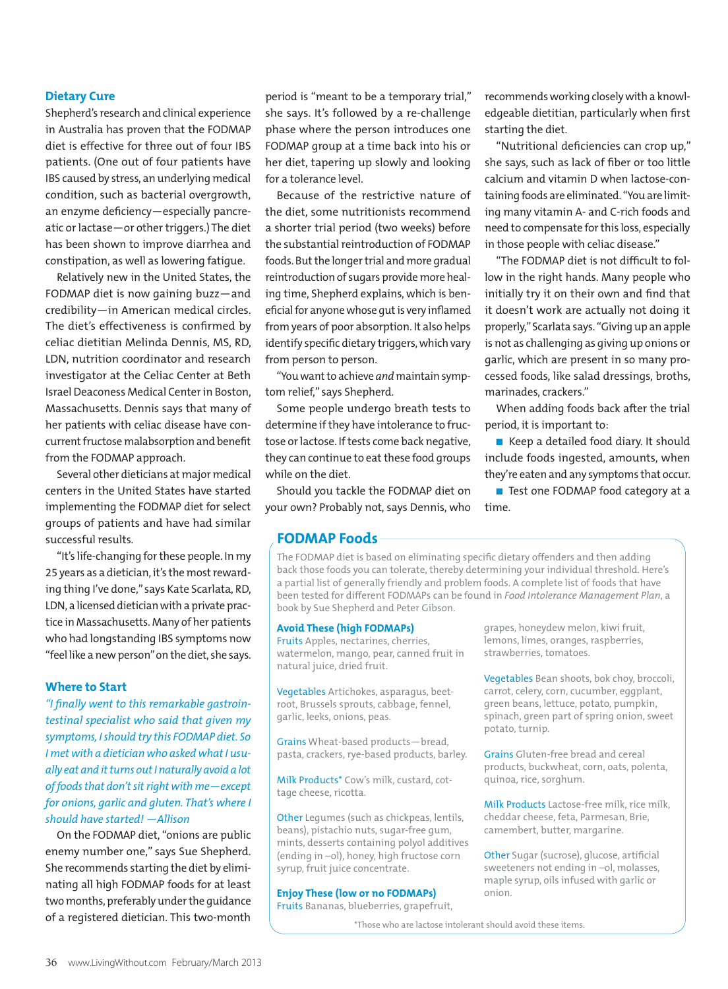# **Dietary Cure**

Shepherd's research and clinical experience in Australia has proven that the FODMAP diet is effective for three out of four IBS patients. (One out of four patients have IBS caused by stress, an underlying medical condition, such as bacterial overgrowth, an enzyme deficiency—especially pancreatic or lactase—or other triggers.) The diet has been shown to improve diarrhea and constipation, as well as lowering fatigue.

Relatively new in the United States, the FODMAP diet is now gaining buzz—and credibility—in American medical circles. The diet's effectiveness is confirmed by celiac dietitian Melinda Dennis, MS, RD, LDN, nutrition coordinator and research investigator at the Celiac Center at Beth Israel Deaconess Medical Center in Boston, Massachusetts. Dennis says that many of her patients with celiac disease have concurrent fructose malabsorption and benefit from the FODMAP approach.

Several other dieticians at major medical centers in the United States have started implementing the FODMAP diet for select groups of patients and have had similar successful results.

"It's life-changing for these people. In my 25 years as a dietician, it's the most rewarding thing I've done," says Kate Scarlata, RD, LDN, a licensed dietician with a private practice in Massachusetts. Many of her patients who had longstanding IBS symptoms now "feel like a new person" on the diet, she says.

#### **Where to Start**

*"I finally went to this remarkable gastrointestinal specialist who said that given my symptoms, I should try this FODMAP diet. So I met with a dietician who asked what I usually eat and it turns out I naturally avoid a lot of foods that don't sit right with me—except for onions, garlic and gluten. That's where I should have started! —Allison*

On the FODMAP diet, "onions are public enemy number one," says Sue Shepherd. She recommends starting the diet by eliminating all high FODMAP foods for at least two months, preferably under the guidance of a registered dietician. This two-month

period is "meant to be a temporary trial," she says. It's followed by a re-challenge phase where the person introduces one FODMAP group at a time back into his or her diet, tapering up slowly and looking for a tolerance level.

Because of the restrictive nature of the diet, some nutritionists recommend a shorter trial period (two weeks) before the substantial reintroduction of FODMAP foods. But the longer trial and more gradual reintroduction of sugars provide more healing time, Shepherd explains, which is beneficial for anyone whose gut is very inflamed from years of poor absorption. It also helps identify specific dietary triggers, which vary from person to person.

"You want to achieve *and* maintain symptom relief," says Shepherd.

Some people undergo breath tests to determine if they have intolerance to fructose or lactose. If tests come back negative, they can continue to eat these food groups while on the diet.

Should you tackle the FODMAP diet on your own? Probably not, says Dennis, who

recommends working closely with a knowledgeable dietitian, particularly when first starting the diet.

"Nutritional deficiencies can crop up," she says, such as lack of fiber or too little calcium and vitamin D when lactose-containing foods are eliminated. "You are limiting many vitamin A- and C-rich foods and need to compensate for this loss, especially in those people with celiac disease."

"The FODMAP diet is not difficult to follow in the right hands. Many people who initially try it on their own and find that it doesn't work are actually not doing it properly," Scarlata says. "Giving up an apple is not as challenging as giving up onions or garlic, which are present in so many processed foods, like salad dressings, broths, marinades, crackers."

When adding foods back after the trial period, it is important to:

 $\blacksquare$  Keep a detailed food diary. It should include foods ingested, amounts, when they're eaten and any symptoms that occur.

■ Test one FODMAP food category at a time.

# **FODMAP Foods**

The FODMAP diet is based on eliminating specific dietary offenders and then adding back those foods you can tolerate, thereby determining your individual threshold. Here's a partial list of generally friendly and problem foods. A complete list of foods that have been tested for different FODMAPs can be found in *Food Intolerance Management Plan*, a book by Sue Shepherd and Peter Gibson.

### **Avoid These (high FODMAPs)**

Fruits Apples, nectarines, cherries, watermelon, mango, pear, canned fruit in natural juice, dried fruit.

Vegetables Artichokes, asparagus, beetroot, Brussels sprouts, cabbage, fennel, garlic, leeks, onions, peas.

Grains Wheat-based products—bread, pasta, crackers, rye-based products, barley.

Milk Products\* Cow's milk, custard, cottage cheese, ricotta.

Other Legumes (such as chickpeas, lentils, beans), pistachio nuts, sugar-free gum, mints, desserts containing polyol additives (ending in –ol), honey, high fructose corn syrup, fruit juice concentrate.

#### **Enjoy These (low or no FODMAPs)**

Fruits Bananas, blueberries, grapefruit,

grapes, honeydew melon, kiwi fruit, lemons, limes, oranges, raspberries, strawberries, tomatoes.

Vegetables Bean shoots, bok choy, broccoli, carrot, celery, corn, cucumber, eggplant, green beans, lettuce, potato, pumpkin, spinach, green part of spring onion, sweet potato, turnip.

Grains Gluten-free bread and cereal products, buckwheat, corn, oats, polenta, quinoa, rice, sorghum.

Milk Products Lactose-free milk, rice milk, cheddar cheese, feta, Parmesan, Brie, camembert, butter, margarine.

Other Sugar (sucrose), glucose, artificial sweeteners not ending in –ol, molasses, maple syrup, oils infused with garlic or onion.

\*Those who are lactose intolerant should avoid these items.